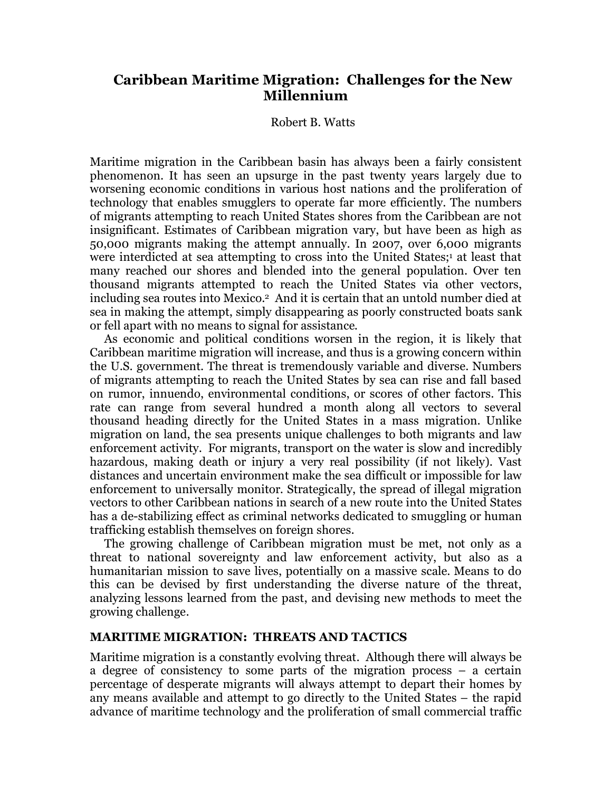# **Caribbean Maritime Migration: Challenges for the New Millennium**

## Robert B. Watts

Maritime migration in the Caribbean basin has always been a fairly consistent phenomenon. It has seen an upsurge in the past twenty years largely due to worsening economic conditions in various host nations and the proliferation of technology that enables smugglers to operate far more efficiently. The numbers of migrants attempting to reach United States shores from the Caribbean are not insignificant. Estimates of Caribbean migration vary, but have been as high as 50,000 migrants making the attempt annually. In 2007, over 6,000 migrants were interdicted at sea attempting to cross into the United States;<sup>1</sup> at least that many reached our shores and blended into the general population. Over ten thousand migrants attempted to reach the United States via other vectors, including sea routes into Mexico.2 And it is certain that an untold number died at sea in making the attempt, simply disappearing as poorly constructed boats sank or fell apart with no means to signal for assistance.

As economic and political conditions worsen in the region, it is likely that Caribbean maritime migration will increase, and thus is a growing concern within the U.S. government. The threat is tremendously variable and diverse. Numbers of migrants attempting to reach the United States by sea can rise and fall based on rumor, innuendo, environmental conditions, or scores of other factors. This rate can range from several hundred a month along all vectors to several thousand heading directly for the United States in a mass migration. Unlike migration on land, the sea presents unique challenges to both migrants and law enforcement activity. For migrants, transport on the water is slow and incredibly hazardous, making death or injury a very real possibility (if not likely). Vast distances and uncertain environment make the sea difficult or impossible for law enforcement to universally monitor. Strategically, the spread of illegal migration vectors to other Caribbean nations in search of a new route into the United States has a de-stabilizing effect as criminal networks dedicated to smuggling or human trafficking establish themselves on foreign shores.

The growing challenge of Caribbean migration must be met, not only as a threat to national sovereignty and law enforcement activity, but also as a humanitarian mission to save lives, potentially on a massive scale. Means to do this can be devised by first understanding the diverse nature of the threat, analyzing lessons learned from the past, and devising new methods to meet the growing challenge.

# **MARITIME MIGRATION: THREATS AND TACTICS**

Maritime migration is a constantly evolving threat. Although there will always be a degree of consistency to some parts of the migration process – a certain percentage of desperate migrants will always attempt to depart their homes by any means available and attempt to go directly to the United States – the rapid advance of maritime technology and the proliferation of small commercial traffic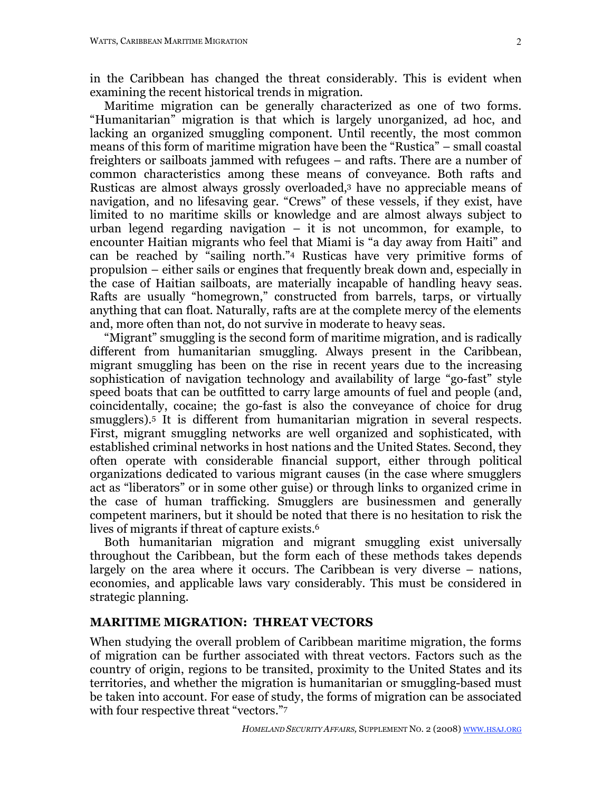in the Caribbean has changed the threat considerably. This is evident when examining the recent historical trends in migration.

Maritime migration can be generally characterized as one of two forms. "Humanitarian" migration is that which is largely unorganized, ad hoc, and lacking an organized smuggling component. Until recently, the most common means of this form of maritime migration have been the "Rustica" – small coastal freighters or sailboats jammed with refugees – and rafts. There are a number of common characteristics among these means of conveyance. Both rafts and Rusticas are almost always grossly overloaded,3 have no appreciable means of navigation, and no lifesaving gear. "Crews" of these vessels, if they exist, have limited to no maritime skills or knowledge and are almost always subject to urban legend regarding navigation  $-$  it is not uncommon, for example, to encounter Haitian migrants who feel that Miami is "a day away from Haiti" and can be reached by "sailing north."4 Rusticas have very primitive forms of propulsion – either sails or engines that frequently break down and, especially in the case of Haitian sailboats, are materially incapable of handling heavy seas. Rafts are usually "homegrown," constructed from barrels, tarps, or virtually anything that can float. Naturally, rafts are at the complete mercy of the elements and, more often than not, do not survive in moderate to heavy seas.

"Migrant" smuggling is the second form of maritime migration, and is radically different from humanitarian smuggling. Always present in the Caribbean, migrant smuggling has been on the rise in recent years due to the increasing sophistication of navigation technology and availability of large "go-fast" style speed boats that can be outfitted to carry large amounts of fuel and people (and, coincidentally, cocaine; the go-fast is also the conveyance of choice for drug smugglers).5 It is different from humanitarian migration in several respects. First, migrant smuggling networks are well organized and sophisticated, with established criminal networks in host nations and the United States. Second, they often operate with considerable financial support, either through political organizations dedicated to various migrant causes (in the case where smugglers act as "liberators" or in some other guise) or through links to organized crime in the case of human trafficking. Smugglers are businessmen and generally competent mariners, but it should be noted that there is no hesitation to risk the lives of migrants if threat of capture exists.6

Both humanitarian migration and migrant smuggling exist universally throughout the Caribbean, but the form each of these methods takes depends largely on the area where it occurs. The Caribbean is very diverse – nations, economies, and applicable laws vary considerably. This must be considered in strategic planning.

# **MARITIME MIGRATION: THREAT VECTORS**

When studying the overall problem of Caribbean maritime migration, the forms of migration can be further associated with threat vectors. Factors such as the country of origin, regions to be transited, proximity to the United States and its territories, and whether the migration is humanitarian or smuggling-based must be taken into account. For ease of study, the forms of migration can be associated with four respective threat "vectors."7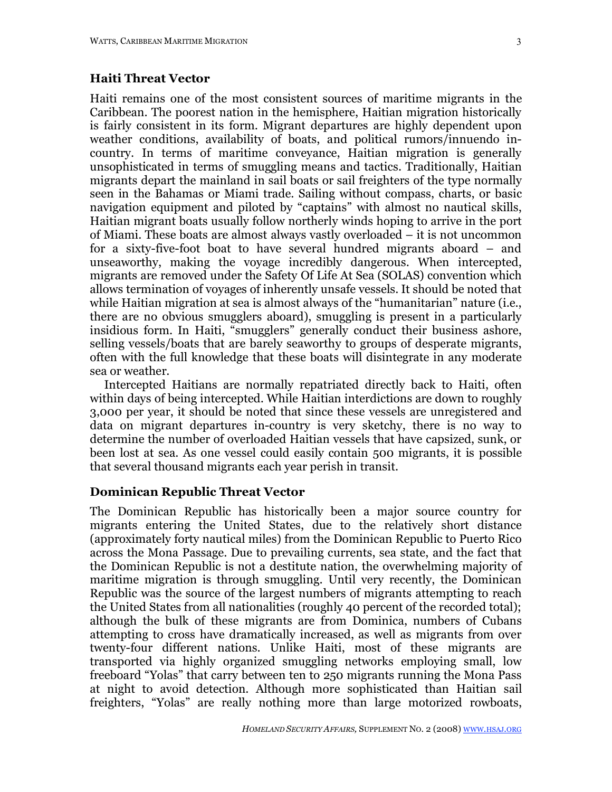### **Haiti Threat Vector**

Haiti remains one of the most consistent sources of maritime migrants in the Caribbean. The poorest nation in the hemisphere, Haitian migration historically is fairly consistent in its form. Migrant departures are highly dependent upon weather conditions, availability of boats, and political rumors/innuendo incountry. In terms of maritime conveyance, Haitian migration is generally unsophisticated in terms of smuggling means and tactics. Traditionally, Haitian migrants depart the mainland in sail boats or sail freighters of the type normally seen in the Bahamas or Miami trade. Sailing without compass, charts, or basic navigation equipment and piloted by "captains" with almost no nautical skills, Haitian migrant boats usually follow northerly winds hoping to arrive in the port of Miami. These boats are almost always vastly overloaded – it is not uncommon for a sixty-five-foot boat to have several hundred migrants aboard – and unseaworthy, making the voyage incredibly dangerous. When intercepted, migrants are removed under the Safety Of Life At Sea (SOLAS) convention which allows termination of voyages of inherently unsafe vessels. It should be noted that while Haitian migration at sea is almost always of the "humanitarian" nature (i.e., there are no obvious smugglers aboard), smuggling is present in a particularly insidious form. In Haiti, "smugglers" generally conduct their business ashore, selling vessels/boats that are barely seaworthy to groups of desperate migrants, often with the full knowledge that these boats will disintegrate in any moderate sea or weather.

Intercepted Haitians are normally repatriated directly back to Haiti, often within days of being intercepted. While Haitian interdictions are down to roughly 3,000 per year, it should be noted that since these vessels are unregistered and data on migrant departures in-country is very sketchy, there is no way to determine the number of overloaded Haitian vessels that have capsized, sunk, or been lost at sea. As one vessel could easily contain 500 migrants, it is possible that several thousand migrants each year perish in transit.

### **Dominican Republic Threat Vector**

The Dominican Republic has historically been a major source country for migrants entering the United States, due to the relatively short distance (approximately forty nautical miles) from the Dominican Republic to Puerto Rico across the Mona Passage. Due to prevailing currents, sea state, and the fact that the Dominican Republic is not a destitute nation, the overwhelming majority of maritime migration is through smuggling. Until very recently, the Dominican Republic was the source of the largest numbers of migrants attempting to reach the United States from all nationalities (roughly 40 percent of the recorded total); although the bulk of these migrants are from Dominica, numbers of Cubans attempting to cross have dramatically increased, as well as migrants from over twenty-four different nations. Unlike Haiti, most of these migrants are transported via highly organized smuggling networks employing small, low freeboard "Yolas" that carry between ten to 250 migrants running the Mona Pass at night to avoid detection. Although more sophisticated than Haitian sail freighters, "Yolas" are really nothing more than large motorized rowboats,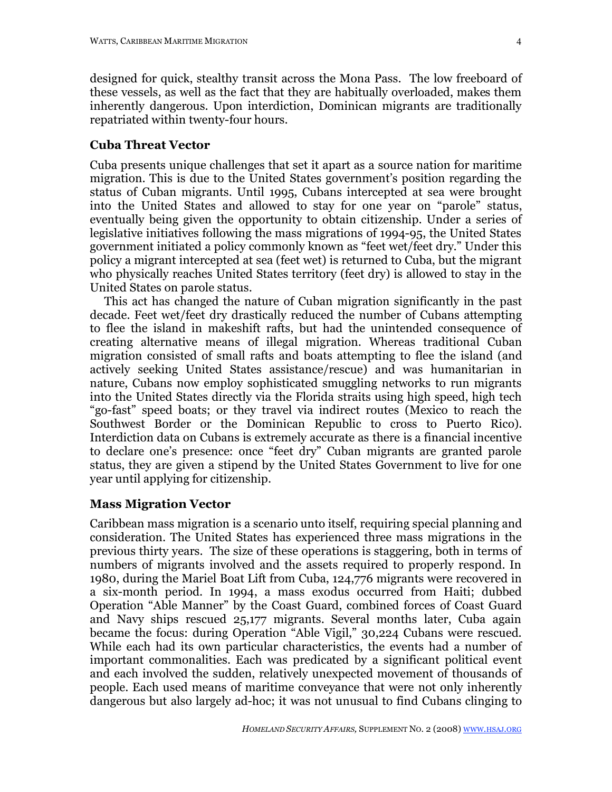designed for quick, stealthy transit across the Mona Pass. The low freeboard of these vessels, as well as the fact that they are habitually overloaded, makes them inherently dangerous. Upon interdiction, Dominican migrants are traditionally repatriated within twenty-four hours.

### **Cuba Threat Vector**

Cuba presents unique challenges that set it apart as a source nation for maritime migration. This is due to the United States government's position regarding the status of Cuban migrants. Until 1995, Cubans intercepted at sea were brought into the United States and allowed to stay for one year on "parole" status, eventually being given the opportunity to obtain citizenship. Under a series of legislative initiatives following the mass migrations of 1994-95, the United States government initiated a policy commonly known as "feet wet/feet dry." Under this policy a migrant intercepted at sea (feet wet) is returned to Cuba, but the migrant who physically reaches United States territory (feet dry) is allowed to stay in the United States on parole status.

This act has changed the nature of Cuban migration significantly in the past decade. Feet wet/feet dry drastically reduced the number of Cubans attempting to flee the island in makeshift rafts, but had the unintended consequence of creating alternative means of illegal migration. Whereas traditional Cuban migration consisted of small rafts and boats attempting to flee the island (and actively seeking United States assistance/rescue) and was humanitarian in nature, Cubans now employ sophisticated smuggling networks to run migrants into the United States directly via the Florida straits using high speed, high tech "go-fast" speed boats; or they travel via indirect routes (Mexico to reach the Southwest Border or the Dominican Republic to cross to Puerto Rico). Interdiction data on Cubans is extremely accurate as there is a financial incentive to declare one's presence: once "feet dry" Cuban migrants are granted parole status, they are given a stipend by the United States Government to live for one year until applying for citizenship.

# **Mass Migration Vector**

Caribbean mass migration is a scenario unto itself, requiring special planning and consideration. The United States has experienced three mass migrations in the previous thirty years. The size of these operations is staggering, both in terms of numbers of migrants involved and the assets required to properly respond. In 1980, during the Mariel Boat Lift from Cuba, 124,776 migrants were recovered in a six-month period. In 1994, a mass exodus occurred from Haiti; dubbed Operation "Able Manner" by the Coast Guard, combined forces of Coast Guard and Navy ships rescued 25,177 migrants. Several months later, Cuba again became the focus: during Operation "Able Vigil," 30,224 Cubans were rescued. While each had its own particular characteristics, the events had a number of important commonalities. Each was predicated by a significant political event and each involved the sudden, relatively unexpected movement of thousands of people. Each used means of maritime conveyance that were not only inherently dangerous but also largely ad-hoc; it was not unusual to find Cubans clinging to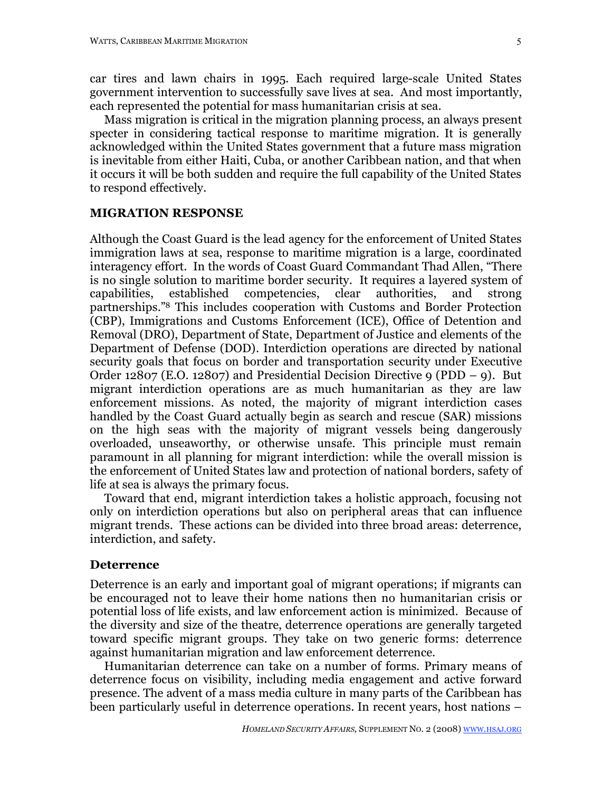car tires and lawn chairs in 1995. Each required large-scale United States government intervention to successfully save lives at sea. And most importantly, each represented the potential for mass humanitarian crisis at sea.

Mass migration is critical in the migration planning process, an always present specter in considering tactical response to maritime migration. It is generally acknowledged within the United States government that a future mass migration is inevitable from either Haiti, Cuba, or another Caribbean nation, and that when it occurs it will be both sudden and require the full capability of the United States to respond effectively.

#### **MIGRATION RESPONSE**

Although the Coast Guard is the lead agency for the enforcement of United States immigration laws at sea, response to maritime migration is a large, coordinated interagency effort. In the words of Coast Guard Commandant Thad Allen, "There is no single solution to maritime border security. It requires a layered system of capabilities, established competencies, clear authorities, and strong partnerships."8 This includes cooperation with Customs and Border Protection (CBP), Immigrations and Customs Enforcement (ICE), Office of Detention and Removal (DRO), Department of State, Department of Justice and elements of the Department of Defense (DOD). Interdiction operations are directed by national security goals that focus on border and transportation security under Executive Order 12807 (E.O. 12807) and Presidential Decision Directive  $9 (PDD - 9)$ . But migrant interdiction operations are as much humanitarian as they are law enforcement missions. As noted, the majority of migrant interdiction cases handled by the Coast Guard actually begin as search and rescue (SAR) missions on the high seas with the majority of migrant vessels being dangerously overloaded, unseaworthy, or otherwise unsafe. This principle must remain paramount in all planning for migrant interdiction: while the overall mission is the enforcement of United States law and protection of national borders, safety of life at sea is always the primary focus.

Toward that end, migrant interdiction takes a holistic approach, focusing not only on interdiction operations but also on peripheral areas that can influence migrant trends. These actions can be divided into three broad areas: deterrence, interdiction, and safety.

#### **Deterrence**

Deterrence is an early and important goal of migrant operations; if migrants can be encouraged not to leave their home nations then no humanitarian crisis or potential loss of life exists, and law enforcement action is minimized. Because of the diversity and size of the theatre, deterrence operations are generally targeted toward specific migrant groups. They take on two generic forms: deterrence against humanitarian migration and law enforcement deterrence.

Humanitarian deterrence can take on a number of forms. Primary means of deterrence focus on visibility, including media engagement and active forward presence. The advent of a mass media culture in many parts of the Caribbean has been particularly useful in deterrence operations. In recent years, host nations –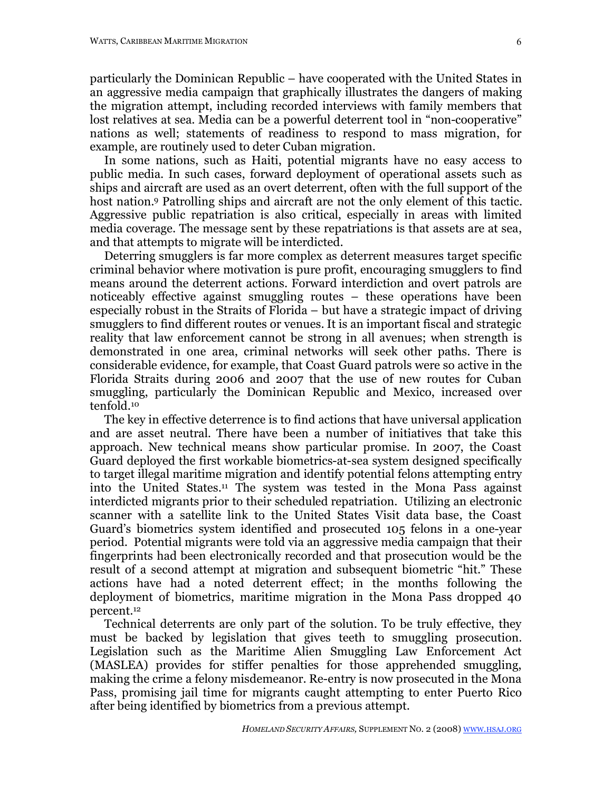particularly the Dominican Republic – have cooperated with the United States in an aggressive media campaign that graphically illustrates the dangers of making the migration attempt, including recorded interviews with family members that lost relatives at sea. Media can be a powerful deterrent tool in "non-cooperative" nations as well; statements of readiness to respond to mass migration, for example, are routinely used to deter Cuban migration.

In some nations, such as Haiti, potential migrants have no easy access to public media. In such cases, forward deployment of operational assets such as ships and aircraft are used as an overt deterrent, often with the full support of the host nation. 9 Patrolling ships and aircraft are not the only element of this tactic. Aggressive public repatriation is also critical, especially in areas with limited media coverage. The message sent by these repatriations is that assets are at sea, and that attempts to migrate will be interdicted.

Deterring smugglers is far more complex as deterrent measures target specific criminal behavior where motivation is pure profit, encouraging smugglers to find means around the deterrent actions. Forward interdiction and overt patrols are noticeably effective against smuggling routes – these operations have been especially robust in the Straits of Florida – but have a strategic impact of driving smugglers to find different routes or venues. It is an important fiscal and strategic reality that law enforcement cannot be strong in all avenues; when strength is demonstrated in one area, criminal networks will seek other paths. There is considerable evidence, for example, that Coast Guard patrols were so active in the Florida Straits during 2006 and 2007 that the use of new routes for Cuban smuggling, particularly the Dominican Republic and Mexico, increased over tenfold.10

The key in effective deterrence is to find actions that have universal application and are asset neutral. There have been a number of initiatives that take this approach. New technical means show particular promise. In 2007, the Coast Guard deployed the first workable biometrics-at-sea system designed specifically to target illegal maritime migration and identify potential felons attempting entry into the United States.11 The system was tested in the Mona Pass against interdicted migrants prior to their scheduled repatriation. Utilizing an electronic scanner with a satellite link to the United States Visit data base, the Coast Guard's biometrics system identified and prosecuted 105 felons in a one-year period. Potential migrants were told via an aggressive media campaign that their fingerprints had been electronically recorded and that prosecution would be the result of a second attempt at migration and subsequent biometric "hit." These actions have had a noted deterrent effect; in the months following the deployment of biometrics, maritime migration in the Mona Pass dropped 40 percent.12

Technical deterrents are only part of the solution. To be truly effective, they must be backed by legislation that gives teeth to smuggling prosecution. Legislation such as the Maritime Alien Smuggling Law Enforcement Act (MASLEA) provides for stiffer penalties for those apprehended smuggling, making the crime a felony misdemeanor. Re-entry is now prosecuted in the Mona Pass, promising jail time for migrants caught attempting to enter Puerto Rico after being identified by biometrics from a previous attempt.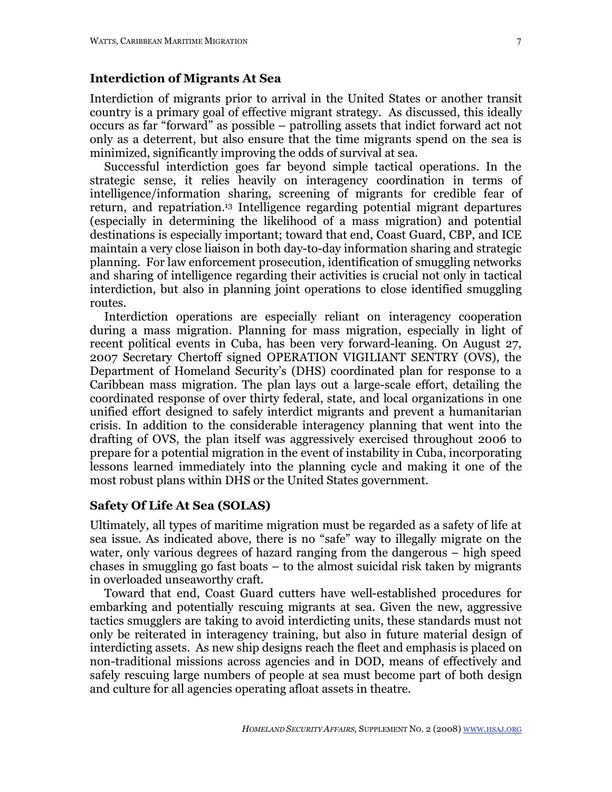#### **Interdiction of Migrants At Sea**

Interdiction of migrants prior to arrival in the United States or another transit country is a primary goal of effective migrant strategy. As discussed, this ideally occurs as far "forward" as possible – patrolling assets that indict forward act not only as a deterrent, but also ensure that the time migrants spend on the sea is minimized, significantly improving the odds of survival at sea.

Successful interdiction goes far beyond simple tactical operations. In the strategic sense, it relies heavily on interagency coordination in terms of intelligence/information sharing, screening of migrants for credible fear of return, and repatriation.13 Intelligence regarding potential migrant departures (especially in determining the likelihood of a mass migration) and potential destinations is especially important; toward that end, Coast Guard, CBP, and ICE maintain a very close liaison in both day-to-day information sharing and strategic planning. For law enforcement prosecution, identification of smuggling networks and sharing of intelligence regarding their activities is crucial not only in tactical interdiction, but also in planning joint operations to close identified smuggling routes.

Interdiction operations are especially reliant on interagency cooperation during a mass migration. Planning for mass migration, especially in light of recent political events in Cuba, has been very forward-leaning. On August 27, 2007 Secretary Chertoff signed OPERATION VIGILIANT SENTRY (OVS), the Department of Homeland Security's (DHS) coordinated plan for response to a Caribbean mass migration. The plan lays out a large-scale effort, detailing the coordinated response of over thirty federal, state, and local organizations in one unified effort designed to safely interdict migrants and prevent a humanitarian crisis. In addition to the considerable interagency planning that went into the drafting of OVS, the plan itself was aggressively exercised throughout 2006 to prepare for a potential migration in the event of instability in Cuba, incorporating lessons learned immediately into the planning cycle and making it one of the most robust plans within DHS or the United States government.

# **Safety Of Life At Sea (SOLAS)**

Ultimately, all types of maritime migration must be regarded as a safety of life at sea issue. As indicated above, there is no "safe" way to illegally migrate on the water, only various degrees of hazard ranging from the dangerous – high speed chases in smuggling go fast boats – to the almost suicidal risk taken by migrants in overloaded unseaworthy craft.

Toward that end, Coast Guard cutters have well-established procedures for embarking and potentially rescuing migrants at sea. Given the new, aggressive tactics smugglers are taking to avoid interdicting units, these standards must not only be reiterated in interagency training, but also in future material design of interdicting assets. As new ship designs reach the fleet and emphasis is placed on non-traditional missions across agencies and in DOD, means of effectively and safely rescuing large numbers of people at sea must become part of both design and culture for all agencies operating afloat assets in theatre.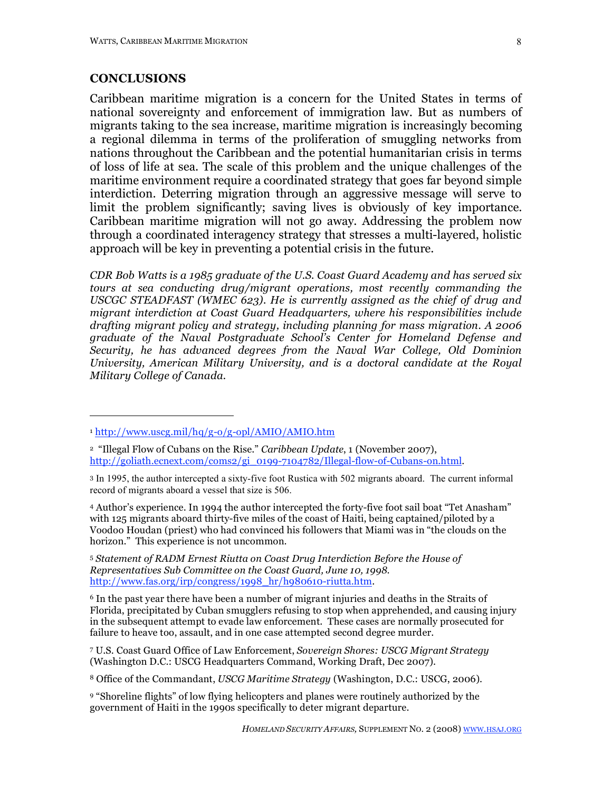### **CONCLUSIONS**

 $\overline{a}$ 

Caribbean maritime migration is a concern for the United States in terms of national sovereignty and enforcement of immigration law. But as numbers of migrants taking to the sea increase, maritime migration is increasingly becoming a regional dilemma in terms of the proliferation of smuggling networks from nations throughout the Caribbean and the potential humanitarian crisis in terms of loss of life at sea. The scale of this problem and the unique challenges of the maritime environment require a coordinated strategy that goes far beyond simple interdiction. Deterring migration through an aggressive message will serve to limit the problem significantly; saving lives is obviously of key importance. Caribbean maritime migration will not go away. Addressing the problem now through a coordinated interagency strategy that stresses a multi-layered, holistic approach will be key in preventing a potential crisis in the future.

*CDR Bob Watts is a 1985 graduate of the U.S. Coast Guard Academy and has served six tours at sea conducting drug/migrant operations, most recently commanding the USCGC STEADFAST (WMEC 623). He is currently assigned as the chief of drug and migrant interdiction at Coast Guard Headquarters, where his responsibilities include drafting migrant policy and strategy, including planning for mass migration. A 2006 graduate of the Naval Postgraduate School's Center for Homeland Defense and Security, he has advanced degrees from the Naval War College, Old Dominion University, American Military University, and is a doctoral candidate at the Royal Military College of Canada.*

4 Author's experience. In 1994 the author intercepted the forty-five foot sail boat "Tet Anasham" with 125 migrants aboard thirty-five miles of the coast of Haiti, being captained/piloted by a Voodoo Houdan (priest) who had convinced his followers that Miami was in "the clouds on the horizon." This experience is not uncommon.

<sup>5</sup> *Statement of RADM Ernest Riutta on Coast Drug Interdiction Before the House of Representatives Sub Committee on the Coast Guard, June 10, 1998*. http://www.fas.org/irp/congress/1998\_hr/h980610-riutta.htm.

6 In the past year there have been a number of migrant injuries and deaths in the Straits of Florida, precipitated by Cuban smugglers refusing to stop when apprehended, and causing injury in the subsequent attempt to evade law enforcement. These cases are normally prosecuted for failure to heave too, assault, and in one case attempted second degree murder.

7 U.S. Coast Guard Office of Law Enforcement, *Sovereign Shores: USCG Migrant Strategy* (Washington D.C.: USCG Headquarters Command, Working Draft, Dec 2007).

<sup>8</sup> Office of the Commandant, *USCG Maritime Strategy* (Washington, D.C.: USCG, 2006).

9 "Shoreline flights" of low flying helicopters and planes were routinely authorized by the government of Haiti in the 1990s specifically to deter migrant departure.

<sup>1</sup> http://www.uscg.mil/hq/g-o/g-opl/AMIO/AMIO.htm

<sup>2 &</sup>quot;Illegal Flow of Cubans on the Rise." *Caribbean Update*, 1 (November 2007), http://goliath.ecnext.com/coms2/gi\_0199-7104782/Illegal-flow-of-Cubans-on.html.

<sup>3</sup> In 1995, the author intercepted a sixty-five foot Rustica with 502 migrants aboard. The current informal record of migrants aboard a vessel that size is 506.